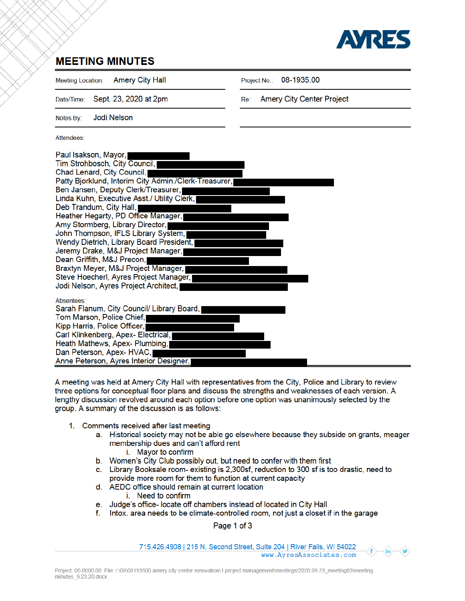

## **MEETING MINUTES**

**Amery City Hall Meeting Location:** 

08-1935.00 Project No.:

Sept. 23, 2020 at 2pm Date/Time:

Amery City Center Project Re:

**Jodi Nelson** Notes By:

Attendees:

| Paul Isakson, Mayor,<br>Tim Strohbosch, City Council,<br>Chad Lenard, City Council,<br>Patty Bjorklund, Interim City Admin./Clerk-Treasurer,<br>Ben Jansen, Deputy Clerk/Treasurer,<br>Linda Kuhn, Executive Asst./ Utility Clerk,<br>Deb Trandum, City Hall,<br>Heather Hegarty, PD Office Manager,<br>Amy Stormberg, Library Director,<br>John Thompson, IFLS Library System,<br>Wendy Dietrich, Library Board President,<br>Jeremy Drake, M&J Project Manager,<br>Dean Griffith, M&J Precon,<br>Braxtyn Meyer, M&J Project Manager,<br>Steve Hoecherl, Ayres Project Manager,<br>Jodi Nelson, Ayres Project Architect, |  |
|---------------------------------------------------------------------------------------------------------------------------------------------------------------------------------------------------------------------------------------------------------------------------------------------------------------------------------------------------------------------------------------------------------------------------------------------------------------------------------------------------------------------------------------------------------------------------------------------------------------------------|--|
| Absentees:<br>Sarah Flanum, City Council/ Library Board,<br>Tom Marson, Police Chief,<br>Kipp Harris, Police Officer,<br>Carl Klinkenberg, Apex- Electrical,<br>Heath Mathews, Apex- Plumbing,<br>Dan Peterson, Apex-HVAC,<br>Anne Peterson, Ayres Interior Designer,                                                                                                                                                                                                                                                                                                                                                     |  |

A meeting was held at Amery City Hall with representatives from the City, Police and Library to review three options for conceptual floor plans and discuss the strengths and weaknesses of each version. A lengthy discussion revolved around each option before one option was unanimously selected by the group. A summary of the discussion is as follows:

- 1. Comments received after last meeting
	- a. Historical society may not be able go elsewhere because they subside on grants, meager membership dues and can't afford rent
		- i. Mayor to confirm
	- b. Women's City Club possibly out, but need to confer with them first
	- c. Library Booksale room- existing is 2,300sf, reduction to 300 sf is too drastic, need to provide more room for them to function at current capacity
	- d. AEDC office should remain at current location
		- i. Need to confirm
	- e. Judge's office- locate off chambers instead of located in City Hall
	- f. Intox. area needs to be climate-controlled room, not just a closet if in the garage

Page 1 of 3

715.426.4908 | 215 N. Second Street, Suite 204 | River Falls, WI 54022 www.AyresAssociates.com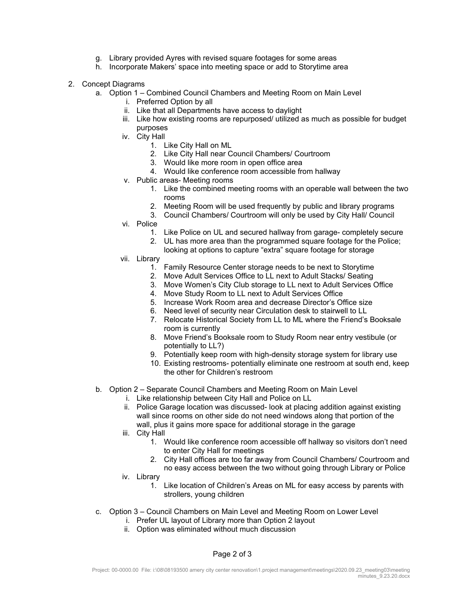- g. Library provided Ayres with revised square footages for some areas
- h. Incorporate Makers' space into meeting space or add to Storytime area
- 2. Concept Diagrams
	- a. Option 1 Combined Council Chambers and Meeting Room on Main Level
		- i. Preferred Option by all
		- ii. Like that all Departments have access to daylight
		- iii. Like how existing rooms are repurposed/ utilized as much as possible for budget purposes
		- iv. City Hall
			- 1. Like City Hall on ML
			- 2. Like City Hall near Council Chambers/ Courtroom
			- 3. Would like more room in open office area
			- 4. Would like conference room accessible from hallway
		- v. Public areas- Meeting rooms
			- 1. Like the combined meeting rooms with an operable wall between the two rooms
			- 2. Meeting Room will be used frequently by public and library programs
			- 3. Council Chambers/ Courtroom will only be used by City Hall/ Council
		- vi. Police
			- 1. Like Police on UL and secured hallway from garage- completely secure
			- 2. UL has more area than the programmed square footage for the Police;
			- looking at options to capture "extra" square footage for storage
		- vii. Library
			- 1. Family Resource Center storage needs to be next to Storytime
			- 2. Move Adult Services Office to LL next to Adult Stacks/ Seating
			- 3. Move Women's City Club storage to LL next to Adult Services Office
			- 4. Move Study Room to LL next to Adult Services Office
			- 5. Increase Work Room area and decrease Director's Office size
			- 6. Need level of security near Circulation desk to stairwell to LL
			- 7. Relocate Historical Society from LL to ML where the Friend's Booksale room is currently
			- 8. Move Friend's Booksale room to Study Room near entry vestibule (or potentially to LL?)
			- 9. Potentially keep room with high-density storage system for library use
			- 10. Existing restrooms- potentially eliminate one restroom at south end, keep the other for Children's restroom
	- b. Option 2 Separate Council Chambers and Meeting Room on Main Level
		- i. Like relationship between City Hall and Police on LL
		- ii. Police Garage location was discussed- look at placing addition against existing wall since rooms on other side do not need windows along that portion of the wall, plus it gains more space for additional storage in the garage
		- iii. City Hall
			- 1. Would like conference room accessible off hallway so visitors don't need to enter City Hall for meetings
			- 2. City Hall offices are too far away from Council Chambers/ Courtroom and no easy access between the two without going through Library or Police
		- iv. Library
			- 1. Like location of Children's Areas on ML for easy access by parents with strollers, young children
	- c. Option 3 Council Chambers on Main Level and Meeting Room on Lower Level
		- i. Prefer UL layout of Library more than Option 2 layout
		- ii. Option was eliminated without much discussion